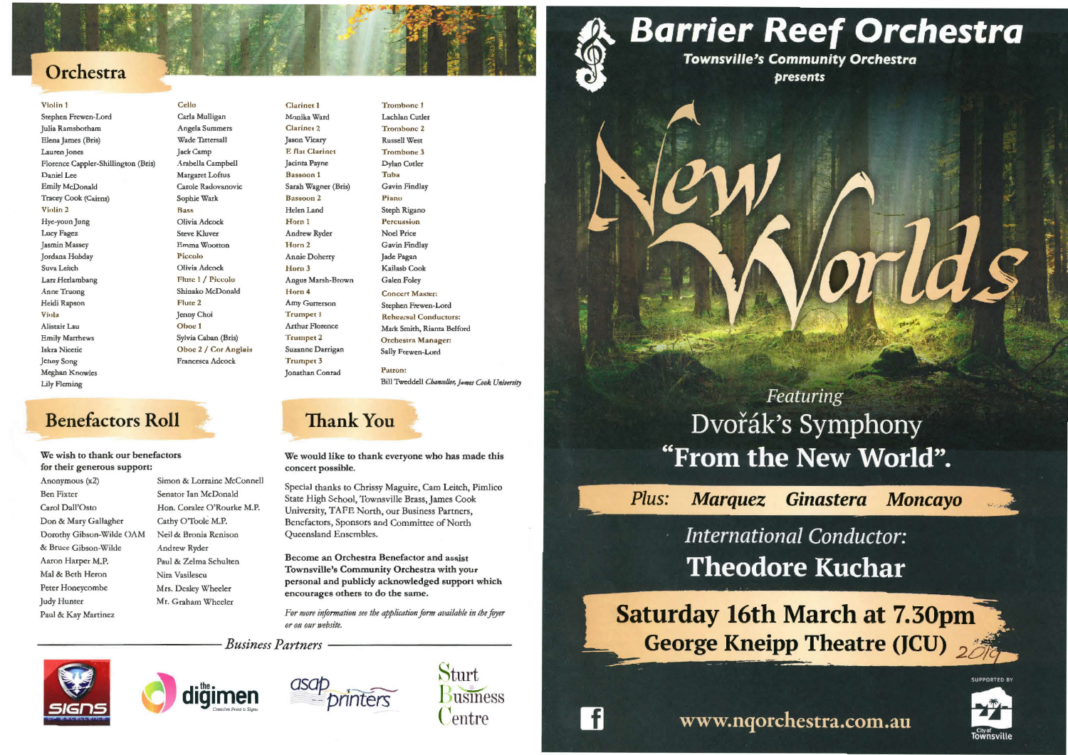## Orchestra

#### Violin 1 Stephen Frewen-Lord Julia Ramsborharn Elena James (Bris) Lauren Jones Florence Cappler-Shillington (Bris) Daniel Lee Emily McDonald Tracey Cook (Cairns) **Vinlin** 2 Hye-youn Jung Lucy Fagez Jasmin Massey Jordana Hobday Suva Leitch Lara Hcrlambang Anne Truong Heidi Rapson Viola Alistair Lau Emily Matthews Iskra Nicetic Jenny Song Meghan Knowles Lily Fleming

Cello Carla Mulligan Angela Summers Wade Tattersall Jack Camp Arabella Campbell Margaret Loftus Carole Radovanovic Sophie Wark **Bass** Olivia Adcock Steve Kluver Emma Wootton Piccolo Olivia Adcock Flute 1 / Piccolo Shinako McDonald Flute 2 Jenny Choi Oboe 1 Sylvia Caban (Bris) Oboe 2 / Cor Anglais Francesca Adcock

Clarinec **1** Monika Ward Clarinet 2 Jason Vicary E flat Clarinet Jacinta Payne Bassoon **1** Sarah Wagner (Bris) Bassoon 2 Helen Land Horn 1 Andrew Ryder Horn 2 Annie Doherty Horn 3 Angus Marsh-Brown Horn 4 Amy Gutterson Trumpet l Arthur Florence Trumpet 2 Suzanne Darrigan Trumpet 3 Jonathan Conrad

**Benefactors Roll** 

We wish to thank our benefactors

for their generous support:

Trombone 1 Lachlan Cutler Trombone Z Russell West Trombone 3 Dylan Cutler Tuba Gavin Findlay **Piano** Steph Rigano Percussion Noel Price Gavin Findlay Jade Pagan Kailasb Cook Galen Foley Concert Master: Stephen Frewen-Lord Rehearsal Conductors; Mark Smith, Rjanta Belford Orchestra Manager: Sally Frewen-Lord Patron:

Special thanks to Chrissy Maguire, Cam Leitch, Pimlico State High School, Townsville Brass, James Cook University, TAPE North, our Business Partners, Benefactors, Sponsors and Committee of North Oueensland Enscmbles.

Anonymous (x2) Simon & Lorraine McConnell Ben Fixter Senator Ian McDonald Carol Dall'Osto Hon. Coralee O'Rourke M.P. Don & Mary Gallagher Cathy O'Toole M.P. Dorothy Gibson-Wilde OAM Neil & Bronia Renison Andrew Ryder Paul & Zelma Schulten Nira Vasilescu Mrs. Desley Wheeler Mr. Graham Whcder

#### **Ginastera Moncayo**



**SUPPORTED BY** 



& Bruce Gibson-Wilde Aaron Harper **M.P.**  Mal & Beth Heron Peter Honeyeombe Judy Hunter



Paul & Kay Martinez

**Sturt Business** Centre

 $\vert f \vert$ 

## **Barrier Reef Orchestra Townsville's Community Orchestra**

**bresents** 

# Featuring Dvořák's Symphony "From the New World".

Plus: **Marquez** 

# **International Conductor: Theodore Kuchar**

# **Saturday 16th March at 7.30pm George Kneipp Theatre (JCU)**  $\frac{1}{200}$

www.nqorchestra.com.au

Bill Tweddell *Chancellor; James Cook University* 

## **Thank You**

**We would like to thank** everyone **who has made this concert possible.** 

Become an Orchestra Benefactor and assist Townsville's Community Orchestra with your personal and publicly acknowledged support which encourages others to do the same.

For more information see the application form available in the foyer *or on our website.* 

 $B$ usiness Partners